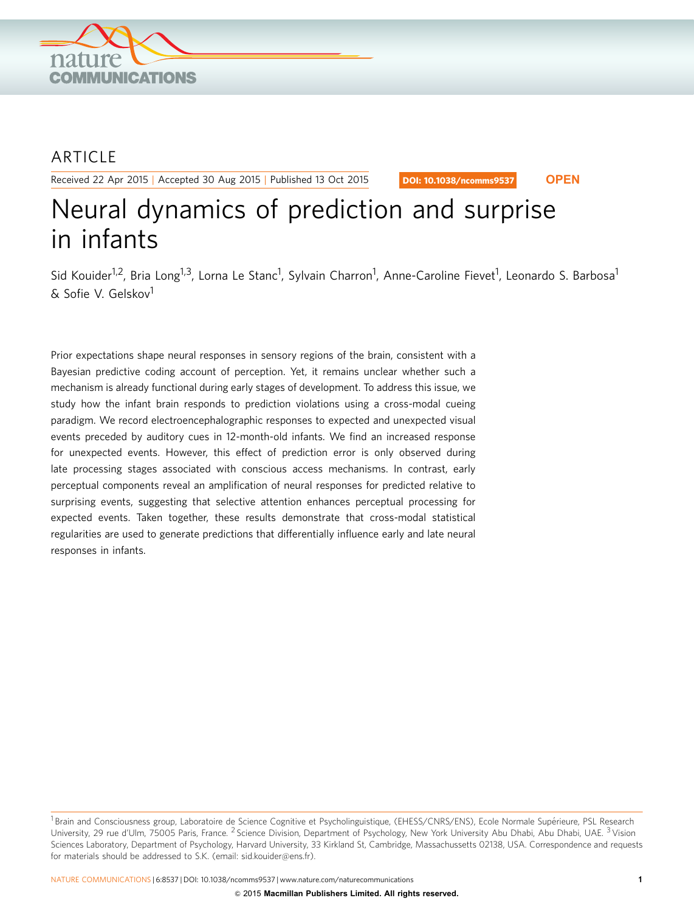

## ARTICLE

Received 22 Apr 2015 | Accepted 30 Aug 2015 | Published 13 Oct 2015

DOI: 10.1038/ncomms9537 **OPEN**

# Neural dynamics of prediction and surprise in infants

Sid Kouider<sup>1,2</sup>, Bria Long<sup>1,3</sup>, Lorna Le Stanc<sup>1</sup>, Sylvain Charron<sup>1</sup>, Anne-Caroline Fievet<sup>1</sup>, Leonardo S. Barbosa<sup>1</sup> & Sofie V. Gelskov1

Prior expectations shape neural responses in sensory regions of the brain, consistent with a Bayesian predictive coding account of perception. Yet, it remains unclear whether such a mechanism is already functional during early stages of development. To address this issue, we study how the infant brain responds to prediction violations using a cross-modal cueing paradigm. We record electroencephalographic responses to expected and unexpected visual events preceded by auditory cues in 12-month-old infants. We find an increased response for unexpected events. However, this effect of prediction error is only observed during late processing stages associated with conscious access mechanisms. In contrast, early perceptual components reveal an amplification of neural responses for predicted relative to surprising events, suggesting that selective attention enhances perceptual processing for expected events. Taken together, these results demonstrate that cross-modal statistical regularities are used to generate predictions that differentially influence early and late neural responses in infants.

<sup>&</sup>lt;sup>1</sup> Brain and Consciousness group, Laboratoire de Science Cognitive et Psycholinguistique, (EHESS/CNRS/ENS), Ecole Normale Supérieure, PSL Research University, 29 rue d'Ulm, 75005 Paris, France. <sup>2</sup> Science Division, Department of Psychology, New York University Abu Dhabi, Abu Dhabi, UAE. <sup>3</sup> Vision Sciences Laboratory, Department of Psychology, Harvard University, 33 Kirkland St, Cambridge, Massachussetts 02138, USA. Correspondence and requests for materials should be addressed to S.K. (email: [sid.kouider@ens.fr](mailto:sid.kouider@ens.fr)).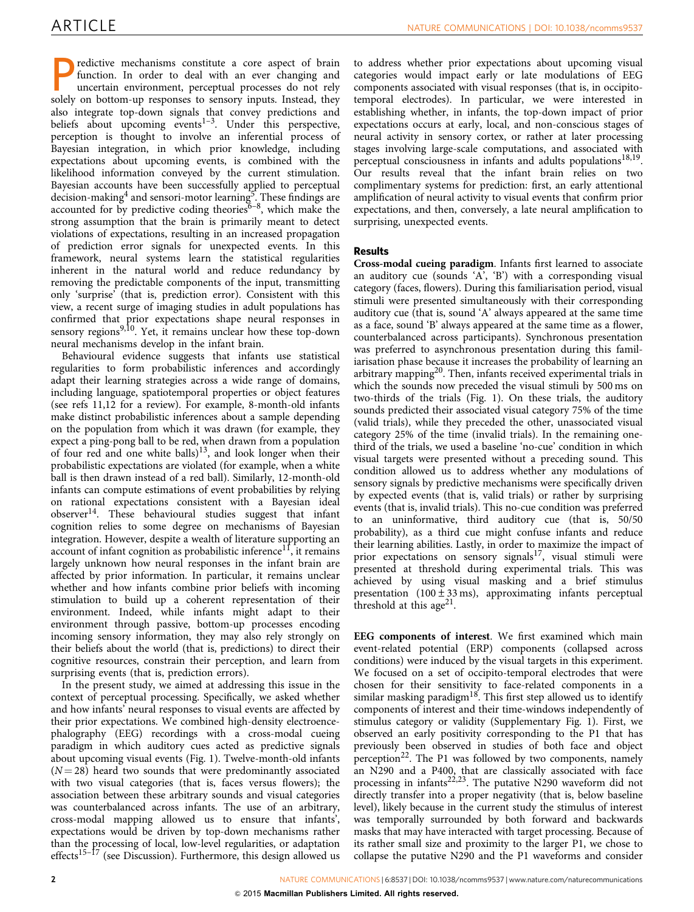redictive mechanisms constitute a core aspect of brain function. In order to deal with an ever changing and uncertain environment, perceptual processes do not rely solely on bottom-up responses to sensory inputs. Instead, they also integrate top-down signals that convey predictions and beliefs about upcoming events<sup>[1–3](#page-6-0)</sup>. Under this perspective, perception is thought to involve an inferential process of Bayesian integration, in which prior knowledge, including expectations about upcoming events, is combined with the likelihood information conveyed by the current stimulation. Bayesian accounts have been successfully applied to perceptual decision-making<sup>[4](#page-6-0)</sup> and sensori-motor learning<sup>5</sup>. These findings are accounted for by predictive coding theories<sup>6–8</sup>, which make the strong assumption that the brain is primarily meant to detect violations of expectations, resulting in an increased propagation of prediction error signals for unexpected events. In this framework, neural systems learn the statistical regularities inherent in the natural world and reduce redundancy by removing the predictable components of the input, transmitting only 'surprise' (that is, prediction error). Consistent with this view, a recent surge of imaging studies in adult populations has confirmed that prior expectations shape neural responses in sensory regions<sup>[9,10](#page-6-0)</sup>. Yet, it remains unclear how these top-down neural mechanisms develop in the infant brain.

Behavioural evidence suggests that infants use statistical regularities to form probabilistic inferences and accordingly adapt their learning strategies across a wide range of domains, including language, spatiotemporal properties or object features (see [refs 11,12](#page-6-0) for a review). For example, 8-month-old infants make distinct probabilistic inferences about a sample depending on the population from which it was drawn (for example, they expect a ping-pong ball to be red, when drawn from a population of four red and one white balls)<sup>[13](#page-6-0)</sup>, and look longer when their probabilistic expectations are violated (for example, when a white ball is then drawn instead of a red ball). Similarly, 12-month-old infants can compute estimations of event probabilities by relying on rational expectations consistent with a Bayesian ideal observer<sup>14</sup>. These behavioural studies suggest that infant cognition relies to some degree on mechanisms of Bayesian integration. However, despite a wealth of literature supporting an account of infant cognition as probabilistic inference<sup>11</sup>, it remains largely unknown how neural responses in the infant brain are affected by prior information. In particular, it remains unclear whether and how infants combine prior beliefs with incoming stimulation to build up a coherent representation of their environment. Indeed, while infants might adapt to their environment through passive, bottom-up processes encoding incoming sensory information, they may also rely strongly on their beliefs about the world (that is, predictions) to direct their cognitive resources, constrain their perception, and learn from surprising events (that is, prediction errors).

In the present study, we aimed at addressing this issue in the context of perceptual processing. Specifically, we asked whether and how infants' neural responses to visual events are affected by their prior expectations. We combined high-density electroencephalography (EEG) recordings with a cross-modal cueing paradigm in which auditory cues acted as predictive signals about upcoming visual events ([Fig. 1\)](#page-2-0). Twelve-month-old infants  $(N = 28)$  heard two sounds that were predominantly associated with two visual categories (that is, faces versus flowers); the association between these arbitrary sounds and visual categories was counterbalanced across infants. The use of an arbitrary, cross-modal mapping allowed us to ensure that infants', expectations would be driven by top-down mechanisms rather than the processing of local, low-level regularities, or adaptation effects<sup>[15–17](#page-6-0)</sup> (see Discussion). Furthermore, this design allowed us

to address whether prior expectations about upcoming visual categories would impact early or late modulations of EEG components associated with visual responses (that is, in occipitotemporal electrodes). In particular, we were interested in establishing whether, in infants, the top-down impact of prior expectations occurs at early, local, and non-conscious stages of neural activity in sensory cortex, or rather at later processing stages involving large-scale computations, and associated with perceptual consciousness in infants and adults populations<sup>18,19</sup>. Our results reveal that the infant brain relies on two complimentary systems for prediction: first, an early attentional amplification of neural activity to visual events that confirm prior expectations, and then, conversely, a late neural amplification to surprising, unexpected events.

### Results

Cross-modal cueing paradigm. Infants first learned to associate an auditory cue (sounds 'A', 'B') with a corresponding visual category (faces, flowers). During this familiarisation period, visual stimuli were presented simultaneously with their corresponding auditory cue (that is, sound 'A' always appeared at the same time as a face, sound 'B' always appeared at the same time as a flower, counterbalanced across participants). Synchronous presentation was preferred to asynchronous presentation during this familiarisation phase because it increases the probability of learning an arbitrary mapping[20](#page-6-0). Then, infants received experimental trials in which the sounds now preceded the visual stimuli by 500 ms on two-thirds of the trials ([Fig. 1\)](#page-2-0). On these trials, the auditory sounds predicted their associated visual category 75% of the time (valid trials), while they preceded the other, unassociated visual category 25% of the time (invalid trials). In the remaining onethird of the trials, we used a baseline 'no-cue' condition in which visual targets were presented without a preceding sound. This condition allowed us to address whether any modulations of sensory signals by predictive mechanisms were specifically driven by expected events (that is, valid trials) or rather by surprising events (that is, invalid trials). This no-cue condition was preferred to an uninformative, third auditory cue (that is, 50/50 probability), as a third cue might confuse infants and reduce their learning abilities. Lastly, in order to maximize the impact of prior expectations on sensory signals<sup>[17](#page-6-0)</sup>, visual stimuli were presented at threshold during experimental trials. This was achieved by using visual masking and a brief stimulus presentation  $(100 \pm 33 \,\text{ms})$ , approximating infants perceptual threshold at this age<sup>[21](#page-6-0)</sup>.

EEG components of interest. We first examined which main event-related potential (ERP) components (collapsed across conditions) were induced by the visual targets in this experiment. We focused on a set of occipito-temporal electrodes that were chosen for their sensitivity to face-related components in a similar masking paradigm<sup>[18](#page-6-0)</sup>. This first step allowed us to identify components of interest and their time-windows independently of stimulus category or validity (Supplementary Fig. 1). First, we observed an early positivity corresponding to the P1 that has previously been observed in studies of both face and object perception<sup>[22](#page-6-0)</sup>. The P1 was followed by two components, namely an N290 and a P400, that are classically associated with face processing in infants<sup>[22,23](#page-6-0)</sup>. The putative N290 waveform did not directly transfer into a proper negativity (that is, below baseline level), likely because in the current study the stimulus of interest was temporally surrounded by both forward and backwards masks that may have interacted with target processing. Because of its rather small size and proximity to the larger P1, we chose to collapse the putative N290 and the P1 waveforms and consider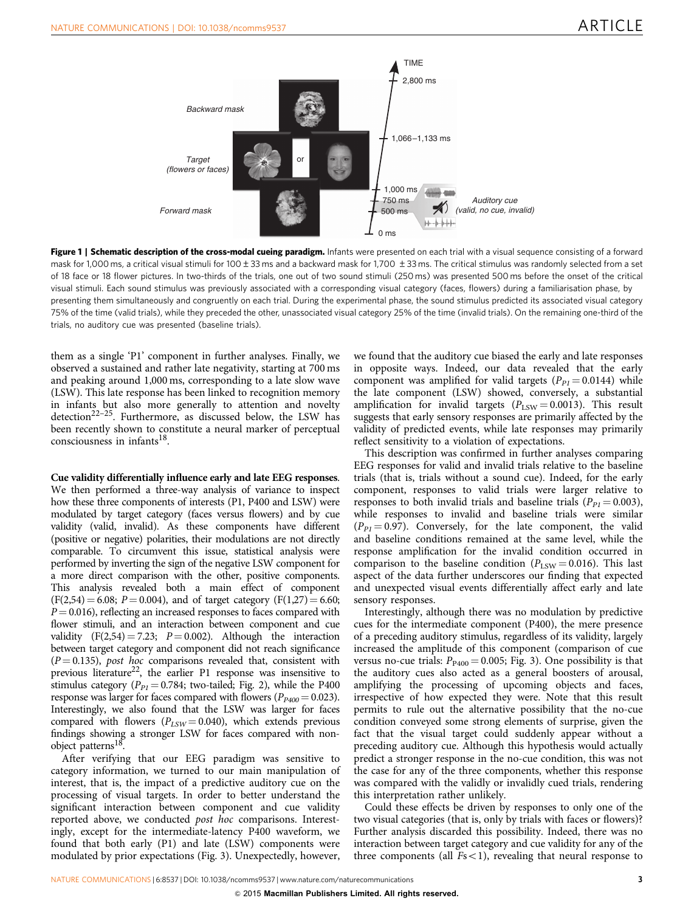<span id="page-2-0"></span>

Figure 1 | Schematic description of the cross-modal cueing paradigm. Infants were presented on each trial with a visual sequence consisting of a forward mask for 1,000 ms, a critical visual stimuli for 100±33 ms and a backward mask for 1,700 ±33 ms. The critical stimulus was randomly selected from a set of 18 face or 18 flower pictures. In two-thirds of the trials, one out of two sound stimuli (250 ms) was presented 500 ms before the onset of the critical visual stimuli. Each sound stimulus was previously associated with a corresponding visual category (faces, flowers) during a familiarisation phase, by presenting them simultaneously and congruently on each trial. During the experimental phase, the sound stimulus predicted its associated visual category 75% of the time (valid trials), while they preceded the other, unassociated visual category 25% of the time (invalid trials). On the remaining one-third of the trials, no auditory cue was presented (baseline trials).

them as a single 'P1' component in further analyses. Finally, we observed a sustained and rather late negativity, starting at 700 ms and peaking around 1,000 ms, corresponding to a late slow wave (LSW). This late response has been linked to recognition memory in infants but also more generally to attention and novelty detection<sup>22-25</sup>. Furthermore, as discussed below, the LSW has been recently shown to constitute a neural marker of perceptual consciousness in infants<sup>[18](#page-6-0)</sup>.

Cue validity differentially influence early and late EEG responses. We then performed a three-way analysis of variance to inspect how these three components of interests (P1, P400 and LSW) were modulated by target category (faces versus flowers) and by cue validity (valid, invalid). As these components have different (positive or negative) polarities, their modulations are not directly comparable. To circumvent this issue, statistical analysis were performed by inverting the sign of the negative LSW component for a more direct comparison with the other, positive components. This analysis revealed both a main effect of component  $(F(2,54) = 6.08; P = 0.004)$ , and of target category  $(F(1,27) = 6.60; P = 0.004)$  $P = 0.016$ ), reflecting an increased responses to faces compared with flower stimuli, and an interaction between component and cue validity  $(F(2,54) = 7.23; P = 0.002)$ . Although the interaction between target category and component did not reach significance  $(P = 0.135)$ , post hoc comparisons revealed that, consistent with previous literature<sup>22</sup>, the earlier P1 response was insensitive to stimulus category ( $P_{PI} = 0.784$ ; two-tailed; [Fig. 2](#page-3-0)), while the P400 response was larger for faces compared with flowers ( $P_{P400} = 0.023$ ). Interestingly, we also found that the LSW was larger for faces compared with flowers ( $P_{LSW} = 0.040$ ), which extends previous findings showing a stronger LSW for faces compared with nonobject patterns<sup>18</sup>.

After verifying that our EEG paradigm was sensitive to category information, we turned to our main manipulation of interest, that is, the impact of a predictive auditory cue on the processing of visual targets. In order to better understand the significant interaction between component and cue validity reported above, we conducted post hoc comparisons. Interestingly, except for the intermediate-latency P400 waveform, we found that both early (P1) and late (LSW) components were modulated by prior expectations ([Fig. 3\)](#page-3-0). Unexpectedly, however,

we found that the auditory cue biased the early and late responses in opposite ways. Indeed, our data revealed that the early component was amplified for valid targets ( $P_{PI} = 0.0144$ ) while the late component (LSW) showed, conversely, a substantial amplification for invalid targets ( $P_{LSW} = 0.0013$ ). This result suggests that early sensory responses are primarily affected by the validity of predicted events, while late responses may primarily reflect sensitivity to a violation of expectations.

This description was confirmed in further analyses comparing EEG responses for valid and invalid trials relative to the baseline trials (that is, trials without a sound cue). Indeed, for the early component, responses to valid trials were larger relative to responses to both invalid trials and baseline trials ( $P_{PI} = 0.003$ ), while responses to invalid and baseline trials were similar  $(P_{PI} = 0.97)$ . Conversely, for the late component, the valid and baseline conditions remained at the same level, while the response amplification for the invalid condition occurred in comparison to the baseline condition ( $P_{LSW} = 0.016$ ). This last aspect of the data further underscores our finding that expected and unexpected visual events differentially affect early and late sensory responses.

Interestingly, although there was no modulation by predictive cues for the intermediate component (P400), the mere presence of a preceding auditory stimulus, regardless of its validity, largely increased the amplitude of this component (comparison of cue versus no-cue trials:  $P_{P400} = 0.005$ ; [Fig. 3](#page-3-0)). One possibility is that the auditory cues also acted as a general boosters of arousal, amplifying the processing of upcoming objects and faces, irrespective of how expected they were. Note that this result permits to rule out the alternative possibility that the no-cue condition conveyed some strong elements of surprise, given the fact that the visual target could suddenly appear without a preceding auditory cue. Although this hypothesis would actually predict a stronger response in the no-cue condition, this was not the case for any of the three components, whether this response was compared with the validly or invalidly cued trials, rendering this interpretation rather unlikely.

Could these effects be driven by responses to only one of the two visual categories (that is, only by trials with faces or flowers)? Further analysis discarded this possibility. Indeed, there was no interaction between target category and cue validity for any of the three components (all  $Fs<1$ ), revealing that neural response to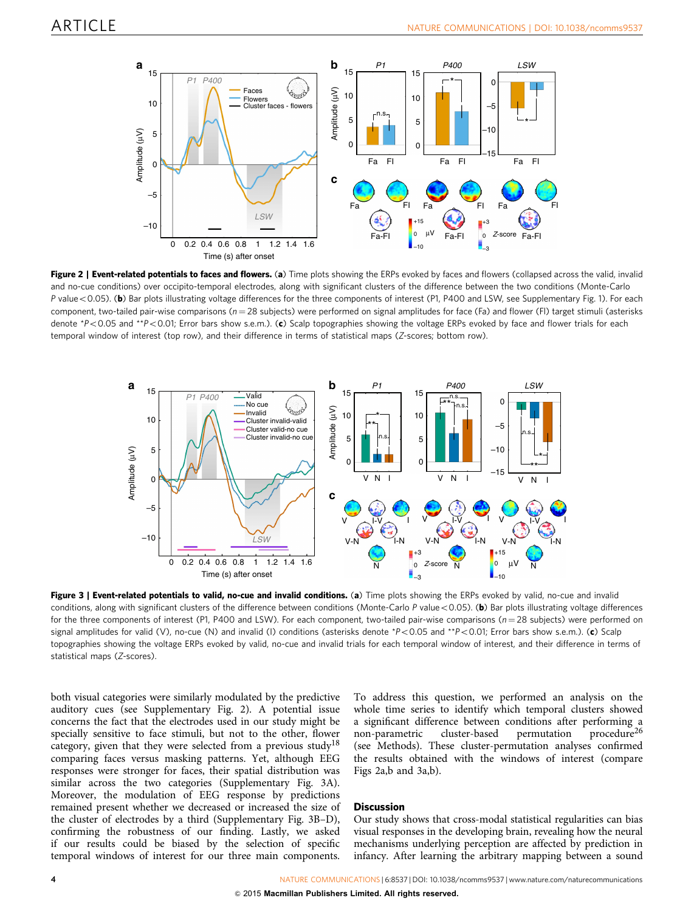<span id="page-3-0"></span>

Figure 2 | Event-related potentials to faces and flowers. (a) Time plots showing the ERPs evoked by faces and flowers (collapsed across the valid, invalid and no-cue conditions) over occipito-temporal electrodes, along with significant clusters of the difference between the two conditions (Monte-Carlo P value<0.05). (b) Bar plots illustrating voltage differences for the three components of interest (P1, P400 and LSW, see Supplementary Fig. 1). For each component, two-tailed pair-wise comparisons ( $n = 28$  subjects) were performed on signal amplitudes for face (Fa) and flower (FI) target stimuli (asterisks denote  $*P<0.05$  and  $*P<0.01$ ; Error bars show s.e.m.). (c) Scalp topographies showing the voltage ERPs evoked by face and flower trials for each temporal window of interest (top row), and their difference in terms of statistical maps (Z-scores; bottom row).



Figure 3 | Event-related potentials to valid, no-cue and invalid conditions. (a) Time plots showing the ERPs evoked by valid, no-cue and invalid conditions, along with significant clusters of the difference between conditions (Monte-Carlo P value < 0.05). (b) Bar plots illustrating voltage differences for the three components of interest (P1, P400 and LSW). For each component, two-tailed pair-wise comparisons ( $n = 28$  subjects) were performed on signal amplitudes for valid (V), no-cue (N) and invalid (I) conditions (asterisks denote \*P<0.05 and \*\*P<0.01; Error bars show s.e.m.). (c) Scalp topographies showing the voltage ERPs evoked by valid, no-cue and invalid trials for each temporal window of interest, and their difference in terms of statistical maps (Z-scores).

both visual categories were similarly modulated by the predictive auditory cues (see Supplementary Fig. 2). A potential issue concerns the fact that the electrodes used in our study might be specially sensitive to face stimuli, but not to the other, flower category, given that they were selected from a previous study<sup>18</sup> comparing faces versus masking patterns. Yet, although EEG responses were stronger for faces, their spatial distribution was similar across the two categories (Supplementary Fig. 3A). Moreover, the modulation of EEG response by predictions remained present whether we decreased or increased the size of the cluster of electrodes by a third (Supplementary Fig. 3B–D), confirming the robustness of our finding. Lastly, we asked if our results could be biased by the selection of specific temporal windows of interest for our three main components.

To address this question, we performed an analysis on the whole time series to identify which temporal clusters showed a significant difference between conditions after performing a non-parametric cluster-based permutation procedure<sup>[26](#page-6-0)</sup> (see Methods). These cluster-permutation analyses confirmed the results obtained with the windows of interest (compare Figs 2a,b and 3a,b).

#### **Discussion**

Our study shows that cross-modal statistical regularities can bias visual responses in the developing brain, revealing how the neural mechanisms underlying perception are affected by prediction in infancy. After learning the arbitrary mapping between a sound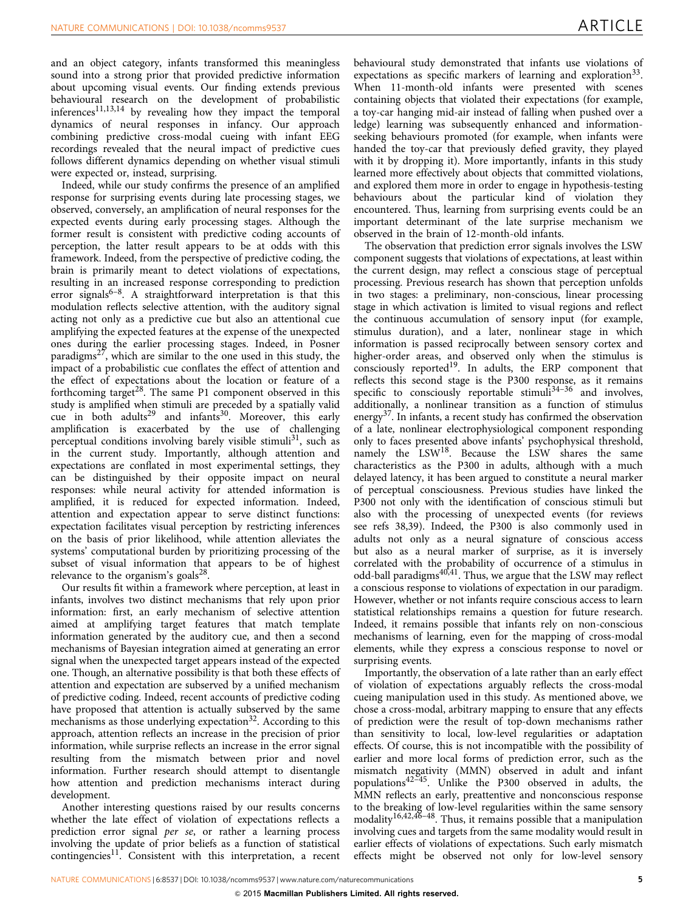and an object category, infants transformed this meaningless sound into a strong prior that provided predictive information about upcoming visual events. Our finding extends previous behavioural research on the development of probabilistic inferences<sup>[11,13,14](#page-6-0)</sup> by revealing how they impact the temporal dynamics of neural responses in infancy. Our approach combining predictive cross-modal cueing with infant EEG recordings revealed that the neural impact of predictive cues follows different dynamics depending on whether visual stimuli were expected or, instead, surprising.

Indeed, while our study confirms the presence of an amplified response for surprising events during late processing stages, we observed, conversely, an amplification of neural responses for the expected events during early processing stages. Although the former result is consistent with predictive coding accounts of perception, the latter result appears to be at odds with this framework. Indeed, from the perspective of predictive coding, the brain is primarily meant to detect violations of expectations, resulting in an increased response corresponding to prediction error signals<sup>6–8</sup>. A straightforward interpretation is that this modulation reflects selective attention, with the auditory signal acting not only as a predictive cue but also an attentional cue amplifying the expected features at the expense of the unexpected ones during the earlier processing stages. Indeed, in Posner paradigms<sup>[27](#page-6-0)</sup>, which are similar to the one used in this study, the impact of a probabilistic cue conflates the effect of attention and the effect of expectations about the location or feature of a forthcoming target<sup>[28](#page-6-0)</sup>. The same P1 component observed in this study is amplified when stimuli are preceded by a spatially valid cue in both adults<sup>29</sup> and infants<sup>[30](#page-6-0)</sup>. Moreover, this early amplification is exacerbated by the use of challenging perceptual conditions involving barely visible stimuli<sup>[31](#page-6-0)</sup>, such as in the current study. Importantly, although attention and expectations are conflated in most experimental settings, they can be distinguished by their opposite impact on neural responses: while neural activity for attended information is amplified, it is reduced for expected information. Indeed, attention and expectation appear to serve distinct functions: expectation facilitates visual perception by restricting inferences on the basis of prior likelihood, while attention alleviates the systems' computational burden by prioritizing processing of the subset of visual information that appears to be of highest relevance to the organism's goals<sup>28</sup>.

Our results fit within a framework where perception, at least in infants, involves two distinct mechanisms that rely upon prior information: first, an early mechanism of selective attention aimed at amplifying target features that match template information generated by the auditory cue, and then a second mechanisms of Bayesian integration aimed at generating an error signal when the unexpected target appears instead of the expected one. Though, an alternative possibility is that both these effects of attention and expectation are subserved by a unified mechanism of predictive coding. Indeed, recent accounts of predictive coding have proposed that attention is actually subserved by the same mechanisms as those underlying expectation<sup>32</sup>. According to this approach, attention reflects an increase in the precision of prior information, while surprise reflects an increase in the error signal resulting from the mismatch between prior and novel information. Further research should attempt to disentangle how attention and prediction mechanisms interact during development.

Another interesting questions raised by our results concerns whether the late effect of violation of expectations reflects a prediction error signal per se, or rather a learning process involving the update of prior beliefs as a function of statistical contingencies<sup>[11](#page-6-0)</sup>. Consistent with this interpretation, a recent behavioural study demonstrated that infants use violations of expectations as specific markers of learning and exploration  $33$ . When 11-month-old infants were presented with scenes containing objects that violated their expectations (for example, a toy-car hanging mid-air instead of falling when pushed over a ledge) learning was subsequently enhanced and informationseeking behaviours promoted (for example, when infants were handed the toy-car that previously defied gravity, they played with it by dropping it). More importantly, infants in this study learned more effectively about objects that committed violations, and explored them more in order to engage in hypothesis-testing behaviours about the particular kind of violation they encountered. Thus, learning from surprising events could be an important determinant of the late surprise mechanism we observed in the brain of 12-month-old infants.

The observation that prediction error signals involves the LSW component suggests that violations of expectations, at least within the current design, may reflect a conscious stage of perceptual processing. Previous research has shown that perception unfolds in two stages: a preliminary, non-conscious, linear processing stage in which activation is limited to visual regions and reflect the continuous accumulation of sensory input (for example, stimulus duration), and a later, nonlinear stage in which information is passed reciprocally between sensory cortex and higher-order areas, and observed only when the stimulus is consciously reported<sup>19</sup>. In adults, the ERP component that reflects this second stage is the P300 response, as it remains specific to consciously reportable stimuli $34-36$  and involves, additionally, a nonlinear transition as a function of stimulus energy<sup>[37](#page-6-0)</sup>. In infants, a recent study has confirmed the observation of a late, nonlinear electrophysiological component responding only to faces presented above infants' psychophysical threshold, namely the LSW<sup>[18](#page-6-0)</sup>. Because the LSW shares the same characteristics as the P300 in adults, although with a much delayed latency, it has been argued to constitute a neural marker of perceptual consciousness. Previous studies have linked the P300 not only with the identification of conscious stimuli but also with the processing of unexpected events (for reviews see [refs 38,39](#page-6-0)). Indeed, the P300 is also commonly used in adults not only as a neural signature of conscious access but also as a neural marker of surprise, as it is inversely correlated with the probability of occurrence of a stimulus in odd-ball paradigms<sup>[40,41](#page-6-0)</sup>. Thus, we argue that the LSW may reflect a conscious response to violations of expectation in our paradigm. However, whether or not infants require conscious access to learn statistical relationships remains a question for future research. Indeed, it remains possible that infants rely on non-conscious mechanisms of learning, even for the mapping of cross-modal elements, while they express a conscious response to novel or surprising events.

Importantly, the observation of a late rather than an early effect of violation of expectations arguably reflects the cross-modal cueing manipulation used in this study. As mentioned above, we chose a cross-modal, arbitrary mapping to ensure that any effects of prediction were the result of top-down mechanisms rather than sensitivity to local, low-level regularities or adaptation effects. Of course, this is not incompatible with the possibility of earlier and more local forms of prediction error, such as the mismatch negativity (MMN) observed in adult and infant populations[42–45.](#page-6-0) Unlike the P300 observed in adults, the MMN reflects an early, preattentive and nonconscious response to the breaking of low-level regularities within the same sensory modality<sup>[16,42,46–48](#page-6-0)</sup>. Thus, it remains possible that a manipulation involving cues and targets from the same modality would result in earlier effects of violations of expectations. Such early mismatch effects might be observed not only for low-level sensory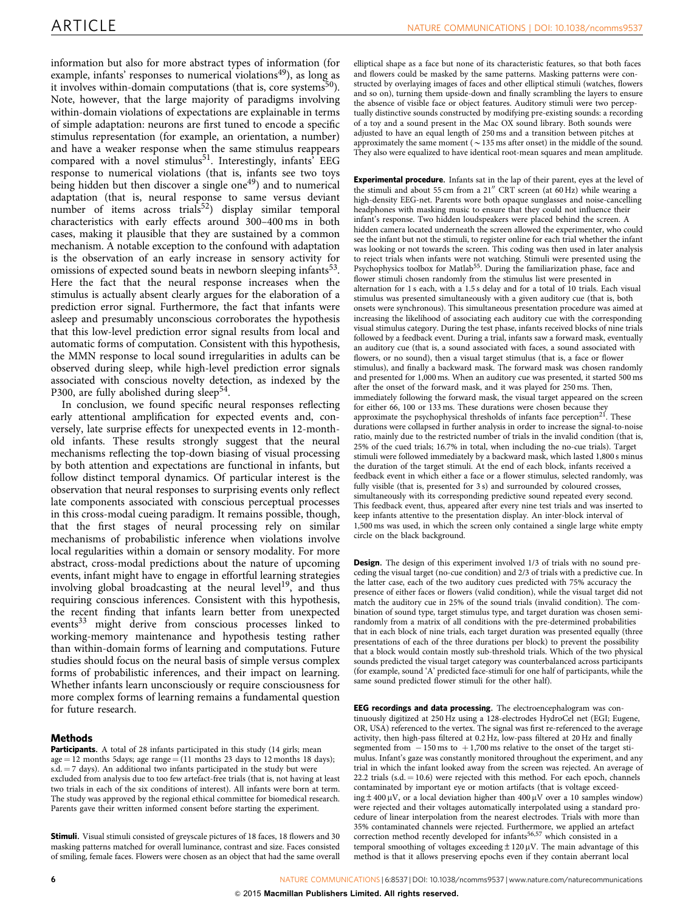information but also for more abstract types of information (for example, infants' responses to numerical violations<sup>49</sup>), as long as it involves within-domain computations (that is, core systems $50$ ). Note, however, that the large majority of paradigms involving within-domain violations of expectations are explainable in terms of simple adaptation: neurons are first tuned to encode a specific stimulus representation (for example, an orientation, a number) and have a weaker response when the same stimulus reappears compared with a novel stimulus<sup>51</sup>. Interestingly, infants<sup>3</sup> EEG response to numerical violations (that is, infants see two toys being hidden but then discover a single one<sup>49</sup>) and to numerical adaptation (that is, neural response to same versus deviant number of items across trials<sup>52</sup>) display similar temporal characteristics with early effects around 300–400 ms in both cases, making it plausible that they are sustained by a common mechanism. A notable exception to the confound with adaptation is the observation of an early increase in sensory activity for omissions of expected sound beats in newborn sleeping infants<sup>53</sup>. Here the fact that the neural response increases when the stimulus is actually absent clearly argues for the elaboration of a prediction error signal. Furthermore, the fact that infants were asleep and presumably unconscious corroborates the hypothesis that this low-level prediction error signal results from local and automatic forms of computation. Consistent with this hypothesis, the MMN response to local sound irregularities in adults can be observed during sleep, while high-level prediction error signals associated with conscious novelty detection, as indexed by the P300, are fully abolished during sleep<sup>54</sup>.

In conclusion, we found specific neural responses reflecting early attentional amplification for expected events and, conversely, late surprise effects for unexpected events in 12-monthold infants. These results strongly suggest that the neural mechanisms reflecting the top-down biasing of visual processing by both attention and expectations are functional in infants, but follow distinct temporal dynamics. Of particular interest is the observation that neural responses to surprising events only reflect late components associated with conscious perceptual processes in this cross-modal cueing paradigm. It remains possible, though, that the first stages of neural processing rely on similar mechanisms of probabilistic inference when violations involve local regularities within a domain or sensory modality. For more abstract, cross-modal predictions about the nature of upcoming events, infant might have to engage in effortful learning strategies involving global broadcasting at the neural level<sup>19</sup>, and thus requiring conscious inferences. Consistent with this hypothesis, the recent finding that infants learn better from unexpected events<sup>[33](#page-6-0)</sup> might derive from conscious processes linked to working-memory maintenance and hypothesis testing rather than within-domain forms of learning and computations. Future studies should focus on the neural basis of simple versus complex forms of probabilistic inferences, and their impact on learning. Whether infants learn unconsciously or require consciousness for more complex forms of learning remains a fundamental question for future research.

#### Methods

Participants. A total of 28 infants participated in this study (14 girls; mean  $age = 12$  months 5days; age range  $= (11$  months 23 days to 12 months 18 days);  $s.d. = 7$  days). An additional two infants participated in the study but were excluded from analysis due to too few artefact-free trials (that is, not having at least two trials in each of the six conditions of interest). All infants were born at term. The study was approved by the regional ethical committee for biomedical research. Parents gave their written informed consent before starting the experiment.

Stimuli. Visual stimuli consisted of greyscale pictures of 18 faces, 18 flowers and 30 masking patterns matched for overall luminance, contrast and size. Faces consisted of smiling, female faces. Flowers were chosen as an object that had the same overall

elliptical shape as a face but none of its characteristic features, so that both faces and flowers could be masked by the same patterns. Masking patterns were constructed by overlaying images of faces and other elliptical stimuli (watches, flowers and so on), turning them upside-down and finally scrambling the layers to ensure the absence of visible face or object features. Auditory stimuli were two perceptually distinctive sounds constructed by modifying pre-existing sounds: a recording of a toy and a sound present in the Mac OX sound library. Both sounds were adjusted to have an equal length of 250 ms and a transition between pitches at approximately the same moment ( $\sim$  135 ms after onset) in the middle of the sound. They also were equalized to have identical root-mean squares and mean amplitude.

Experimental procedure. Infants sat in the lap of their parent, eyes at the level of the stimuli and about 55 cm from a  $21''$  CRT screen (at 60 Hz) while wearing a high-density EEG-net. Parents wore both opaque sunglasses and noise-cancelling headphones with masking music to ensure that they could not influence their infant's response. Two hidden loudspeakers were placed behind the screen. A hidden camera located underneath the screen allowed the experimenter, who could see the infant but not the stimuli, to register online for each trial whether the infant was looking or not towards the screen. This coding was then used in later analysis to reject trials when infants were not watching. Stimuli were presented using the Psychophysics toolbox for Matlab<sup>[55](#page-7-0)</sup>. During the familiarization phase, face and flower stimuli chosen randomly from the stimulus list were presented in alternation for 1 s each, with a 1.5 s delay and for a total of 10 trials. Each visual stimulus was presented simultaneously with a given auditory cue (that is, both onsets were synchronous). This simultaneous presentation procedure was aimed at increasing the likelihood of associating each auditory cue with the corresponding visual stimulus category. During the test phase, infants received blocks of nine trials followed by a feedback event. During a trial, infants saw a forward mask, eventually an auditory cue (that is, a sound associated with faces, a sound associated with flowers, or no sound), then a visual target stimulus (that is, a face or flower stimulus), and finally a backward mask. The forward mask was chosen randomly and presented for 1,000 ms. When an auditory cue was presented, it started 500 ms after the onset of the forward mask, and it was played for 250 ms. Then, immediately following the forward mask, the visual target appeared on the screen for either 66, 100 or 133 ms. These durations were chosen because they approximate the psychophysical thresholds of infants face perception<sup>21</sup>. These durations were collapsed in further analysis in order to increase the signal-to-noise ratio, mainly due to the restricted number of trials in the invalid condition (that is, 25% of the cued trials; 16.7% in total, when including the no-cue trials). Target stimuli were followed immediately by a backward mask, which lasted 1,800 s minus the duration of the target stimuli. At the end of each block, infants received a feedback event in which either a face or a flower stimulus, selected randomly, was fully visible (that is, presented for 3 s) and surrounded by coloured crosses, simultaneously with its corresponding predictive sound repeated every second. This feedback event, thus, appeared after every nine test trials and was inserted to keep infants attentive to the presentation display. An inter-block interval of 1,500 ms was used, in which the screen only contained a single large white empty circle on the black background.

Design. The design of this experiment involved 1/3 of trials with no sound preceding the visual target (no-cue condition) and 2/3 of trials with a predictive cue. In the latter case, each of the two auditory cues predicted with 75% accuracy the presence of either faces or flowers (valid condition), while the visual target did not match the auditory cue in 25% of the sound trials (invalid condition). The combination of sound type, target stimulus type, and target duration was chosen semirandomly from a matrix of all conditions with the pre-determined probabilities that in each block of nine trials, each target duration was presented equally (three presentations of each of the three durations per block) to prevent the possibility that a block would contain mostly sub-threshold trials. Which of the two physical sounds predicted the visual target category was counterbalanced across participants (for example, sound 'A' predicted face-stimuli for one half of participants, while the same sound predicted flower stimuli for the other half).

EEG recordings and data processing. The electroencephalogram was continuously digitized at 250 Hz using a 128-electrodes HydroCel net (EGI; Eugene, OR, USA) referenced to the vertex. The signal was first re-referenced to the average activity, then high-pass filtered at 0.2 Hz, low-pass filtered at 20 Hz and finally segmented from  $-150$  ms to  $+1,700$  ms relative to the onset of the target stimulus. Infant's gaze was constantly monitored throughout the experiment, and any trial in which the infant looked away from the screen was rejected. An average of 22.2 trials (s.d.  $= 10.6$ ) were rejected with this method. For each epoch, channels contaminated by important eye or motion artifacts (that is voltage exceeding  $\pm$  400  $\mu$ V, or a local deviation higher than 400  $\mu$ V over a 10 samples window) were rejected and their voltages automatically interpolated using a standard procedure of linear interpolation from the nearest electrodes. Trials with more than 35% contaminated channels were rejected. Furthermore, we applied an artefact correction method recently developed for infants<sup>[56,57](#page-7-0)</sup> which consisted in a temporal smoothing of voltages exceeding  $\pm$  120  $\upmu$  V. The main advantage of this method is that it allows preserving epochs even if they contain aberrant local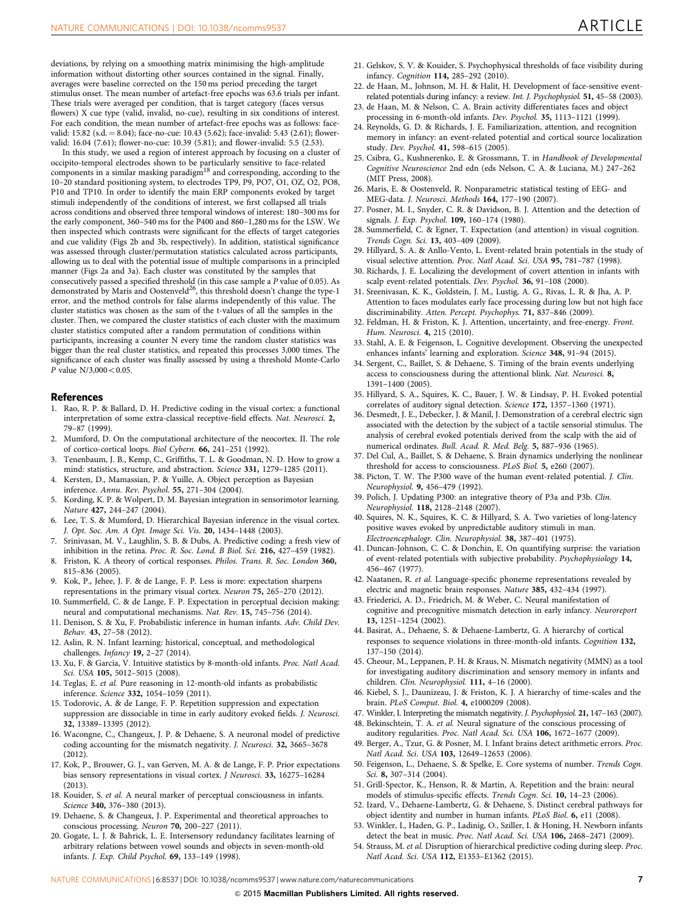<span id="page-6-0"></span>deviations, by relying on a smoothing matrix minimising the high-amplitude information without distorting other sources contained in the signal. Finally, averages were baseline corrected on the 150 ms period preceding the target stimulus onset. The mean number of artefact-free epochs was 63.6 trials per infant. These trials were averaged per condition, that is target category (faces versus flowers) X cue type (valid, invalid, no-cue), resulting in six conditions of interest. For each condition, the mean number of artefact-free epochs was as follows: facevalid: 15.82 (s.d. = 8.04); face-no-cue: 10.43 (5.62); face-invalid: 5.43 (2.61); flowervalid: 16.04 (7.61); flower-no-cue: 10.39 (5.81); and flower-invalid: 5.5 (2.53).

In this study, we used a region of interest approach by focusing on a cluster of occipito-temporal electrodes shown to be particularly sensitive to face-related components in a similar masking paradigm18 and corresponding, according to the 10–20 standard positioning system, to electrodes TP9, P9, PO7, O1, OZ, O2, PO8, P10 and TP10. In order to identify the main ERP components evoked by target stimuli independently of the conditions of interest, we first collapsed all trials across conditions and observed three temporal windows of interest: 180–300 ms for the early component, 360–540 ms for the P400 and 860–1,280 ms for the LSW. We then inspected which contrasts were significant for the effects of target categories and cue validity [\(Figs 2b and 3b](#page-3-0), respectively). In addition, statistical significance was assessed through cluster/permutation statistics calculated across participants, allowing us to deal with the potential issue of multiple comparisons in a principled manner ([Figs 2a and 3a](#page-3-0)). Each cluster was constituted by the samples that consecutively passed a specified threshold (in this case sample a P value of 0.05). As demonstrated by Maris and Oostenveld<sup>26</sup>, this threshold doesn't change the type-1 error, and the method controls for false alarms independently of this value. The cluster statistics was chosen as the sum of the t-values of all the samples in the cluster. Then, we compared the cluster statistics of each cluster with the maximum cluster statistics computed after a random permutation of conditions within participants, increasing a counter N every time the random cluster statistics was bigger than the real cluster statistics, and repeated this processes 3,000 times. The significance of each cluster was finally assessed by using a threshold Monte-Carlo P value  $N/3,000 < 0.05$ .

#### **References**

- 1. Rao, R. P. & Ballard, D. H. Predictive coding in the visual cortex: a functional interpretation of some extra-classical receptive-field effects. Nat. Neurosci. 2, 79–87 (1999).
- 2. Mumford, D. On the computational architecture of the neocortex. II. The role of cortico-cortical loops. Biol Cybern. 66, 241–251 (1992).
- 3. Tenenbaum, J. B., Kemp, C., Griffiths, T. L. & Goodman, N. D. How to grow a mind: statistics, structure, and abstraction. Science 331, 1279–1285 (2011).
- Kersten, D., Mamassian, P. & Yuille, A. Object perception as Bayesian inference. Annu. Rev. Psychol. 55, 271–304 (2004).
- 5. Kording, K. P. & Wolpert, D. M. Bayesian integration in sensorimotor learning. Nature 427, 244–247 (2004).
- 6. Lee, T. S. & Mumford, D. Hierarchical Bayesian inference in the visual cortex. J. Opt. Soc. Am. A Opt. Image Sci. Vis. 20, 1434-1448 (2003).
- 7. Srinivasan, M. V., Laughlin, S. B. & Dubs, A. Predictive coding: a fresh view of inhibition in the retina. Proc. R. Soc. Lond. B Biol. Sci. 216, 427–459 (1982).
- 8. Friston, K. A theory of cortical responses. Philos. Trans. R. Soc. London 360, 815–836 (2005).
- 9. Kok, P., Jehee, J. F. & de Lange, F. P. Less is more: expectation sharpens representations in the primary visual cortex. Neuron 75, 265–270 (2012).
- 10. Summerfield, C. & de Lange, F. P. Expectation in perceptual decision making: neural and computational mechanisms. Nat. Rev. 15, 745–756 (2014).
- 11. Denison, S. & Xu, F. Probabilistic inference in human infants. Adv. Child Dev. Behav. 43, 27–58 (2012).
- 12. Aslin, R. N. Infant learning: historical, conceptual, and methodological challenges. *Infancy* 19, 2-27 (2014).
- 13. Xu, F. & Garcia, V. Intuitive statistics by 8-month-old infants. Proc. Natl Acad. Sci. USA 105, 5012–5015 (2008).
- 14. Teglas, E. et al. Pure reasoning in 12-month-old infants as probabilistic inference. Science 332, 1054–1059 (2011).
- 15. Todorovic, A. & de Lange, F. P. Repetition suppression and expectation suppression are dissociable in time in early auditory evoked fields. J. Neurosci. 32, 13389–13395 (2012).
- 16. Wacongne, C., Changeux, J. P. & Dehaene, S. A neuronal model of predictive coding accounting for the mismatch negativity. J. Neurosci. 32, 3665–3678 (2012).
- 17. Kok, P., Brouwer, G. J., van Gerven, M. A. & de Lange, F. P. Prior expectations bias sensory representations in visual cortex. J Neurosci. 33, 16275–16284 (2013).
- 18. Kouider, S. et al. A neural marker of perceptual consciousness in infants. Science 340, 376–380 (2013).
- 19. Dehaene, S. & Changeux, J. P. Experimental and theoretical approaches to conscious processing. Neuron 70, 200–227 (2011).
- 20. Gogate, L. J. & Bahrick, L. E. Intersensory redundancy facilitates learning of arbitrary relations between vowel sounds and objects in seven-month-old infants. J. Exp. Child Psychol. 69, 133–149 (1998).
- 21. Gelskov, S. V. & Kouider, S. Psychophysical thresholds of face visibility during infancy. Cognition 114, 285–292 (2010).
- 22. de Haan, M., Johnson, M. H. & Halit, H. Development of face-sensitive eventrelated potentials during infancy: a review. Int. J. Psychophysiol. 51, 45–58 (2003).
- 23. de Haan, M. & Nelson, C. A. Brain activity differentiates faces and object processing in 6-month-old infants. Dev. Psychol. 35, 1113–1121 (1999).
- 24. Reynolds, G. D. & Richards, J. E. Familiarization, attention, and recognition memory in infancy: an event-related potential and cortical source localization study. Dev. Psychol. 41, 598–615 (2005).
- 25. Csibra, G., Kushnerenko, E. & Grossmann, T. in Handbook of Developmental Cognitive Neuroscience 2nd edn (eds Nelson, C. A. & Luciana, M.) 247–262 (MIT Press, 2008).
- 26. Maris, E. & Oostenveld, R. Nonparametric statistical testing of EEG- and MEG-data. J. Neurosci. Methods 164, 177–190 (2007).
- 27. Posner, M. I., Snyder, C. R. & Davidson, B. J. Attention and the detection of signals. J. Exp. Psychol. 109, 160–174 (1980).
- 28. Summerfield, C. & Egner, T. Expectation (and attention) in visual cognition. Trends Cogn. Sci. 13, 403–409 (2009).
- 29. Hillyard, S. A. & Anllo-Vento, L. Event-related brain potentials in the study of visual selective attention. Proc. Natl Acad. Sci. USA 95, 781–787 (1998).
- 30. Richards, J. E. Localizing the development of covert attention in infants with scalp event-related potentials. Dev. Psychol. 36, 91–108 (2000).
- 31. Sreenivasan, K. K., Goldstein, J. M., Lustig, A. G., Rivas, L. R. & Jha, A. P. Attention to faces modulates early face processing during low but not high face discriminability. Atten. Percept. Psychophys. 71, 837–846 (2009).
- 32. Feldman, H. & Friston, K. J. Attention, uncertainty, and free-energy. Front. Hum. Neurosci. 4, 215 (2010).
- 33. Stahl, A. E. & Feigenson, L. Cognitive development. Observing the unexpected enhances infants' learning and exploration. Science 348, 91–94 (2015).
- 34. Sergent, C., Baillet, S. & Dehaene, S. Timing of the brain events underlying access to consciousness during the attentional blink. Nat. Neurosci. 8, 1391–1400 (2005).
- 35. Hillyard, S. A., Squires, K. C., Bauer, J. W. & Lindsay, P. H. Evoked potential correlates of auditory signal detection. Science 172, 1357–1360 (1971).
- 36. Desmedt, J. E., Debecker, J. & Manil, J. Demonstration of a cerebral electric sign associated with the detection by the subject of a tactile sensorial stimulus. The analysis of cerebral evoked potentials derived from the scalp with the aid of numerical ordinates. Bull. Acad. R. Med. Belg. 5, 887–936 (1965).
- 37. Del Cul, A., Baillet, S. & Dehaene, S. Brain dynamics underlying the nonlinear threshold for access to consciousness. PLoS Biol. 5, e260 (2007).
- 38. Picton, T. W. The P300 wave of the human event-related potential. J. Clin. Neurophysiol. 9, 456–479 (1992).
- 39. Polich, J. Updating P300: an integrative theory of P3a and P3b. Clin. Neurophysiol. 118, 2128–2148 (2007).
- 40. Squires, N. K., Squires, K. C. & Hillyard, S. A. Two varieties of long-latency positive waves evoked by unpredictable auditory stimuli in man. Electroencephalogr. Clin. Neurophysiol. 38, 387–401 (1975).
- 41. Duncan-Johnson, C. C. & Donchin, E. On quantifying surprise: the variation of event-related potentials with subjective probability. Psychophysiology 14, 456–467 (1977).
- 42. Naatanen, R. et al. Language-specific phoneme representations revealed by electric and magnetic brain responses. Nature 385, 432–434 (1997).
- 43. Friederici, A. D., Friedrich, M. & Weber, C. Neural manifestation of cognitive and precognitive mismatch detection in early infancy. Neuroreport 13, 1251–1254 (2002).
- 44. Basirat, A., Dehaene, S. & Dehaene-Lambertz, G. A hierarchy of cortical responses to sequence violations in three-month-old infants. Cognition 132, 137–150 (2014).
- 45. Cheour, M., Leppanen, P. H. & Kraus, N. Mismatch negativity (MMN) as a tool for investigating auditory discrimination and sensory memory in infants and children. Clin. Neurophysiol. 111, 4–16 (2000).
- 46. Kiebel, S. J., Daunizeau, J. & Friston, K. J. A hierarchy of time-scales and the brain. PLoS Comput. Biol. 4, e1000209 (2008).
- 47. Winkler, I. Interpreting the mismatch negativity. J. Psychophysiol. 21, 147–163 (2007). 48. Bekinschtein, T. A. et al. Neural signature of the conscious processing of
- auditory regularities. Proc. Natl Acad. Sci. USA 106, 1672–1677 (2009).
- 49. Berger, A., Tzur, G. & Posner, M. I. Infant brains detect arithmetic errors. Proc. Natl Acad. Sci. USA 103, 12649–12653 (2006).
- 50. Feigenson, L., Dehaene, S. & Spelke, E. Core systems of number. Trends Cogn. Sci. 8, 307-314 (2004).
- 51. Grill-Spector, K., Henson, R. & Martin, A. Repetition and the brain: neural models of stimulus-specific effects. Trends Cogn. Sci. 10, 14–23 (2006).
- 52. Izard, V., Dehaene-Lambertz, G. & Dehaene, S. Distinct cerebral pathways for object identity and number in human infants. PLoS Biol. 6, e11 (2008).
- 53. Winkler, I., Haden, G. P., Ladinig, O., Sziller, I. & Honing, H. Newborn infants detect the beat in music. Proc. Natl Acad. Sci. USA 106, 2468-2471 (2009).
- 54. Strauss, M. et al. Disruption of hierarchical predictive coding during sleep. Proc. Natl Acad. Sci. USA 112, E1353–E1362 (2015).